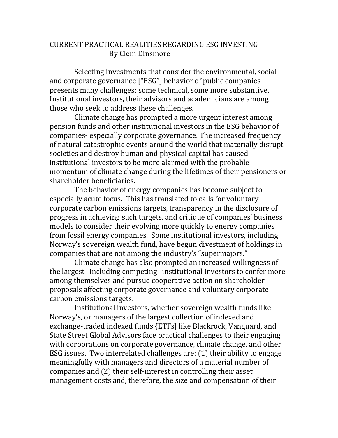## CURRENT PRACTICAL REALITIES REGARDING ESG INVESTING By Clem Dinsmore

Selecting investments that consider the environmental, social and corporate governance ["ESG"] behavior of public companies presents many challenges: some technical, some more substantive. Institutional investors, their advisors and academicians are among those who seek to address these challenges.

Climate change has prompted a more urgent interest among pension funds and other institutional investors in the ESG behavior of companies- especially corporate governance. The increased frequency of natural catastrophic events around the world that materially disrupt societies and destroy human and physical capital has caused institutional investors to be more alarmed with the probable momentum of climate change during the lifetimes of their pensioners or shareholder beneficiaries.

The behavior of energy companies has become subject to especially acute focus. This has translated to calls for voluntary corporate carbon emissions targets, transparency in the disclosure of progress in achieving such targets, and critique of companies' business models to consider their evolving more quickly to energy companies from fossil energy companies. Some institutional investors, including Norway's sovereign wealth fund, have begun divestment of holdings in companies that are not among the industry's "supermajors."

Climate change has also prompted an increased willingness of the largest--including competing--institutional investors to confer more among themselves and pursue cooperative action on shareholder proposals affecting corporate governance and voluntary corporate carbon emissions targets.

Institutional investors, whether sovereign wealth funds like Norway's, or managers of the largest collection of indexed and exchange-traded indexed funds {ETFs] like Blackrock, Vanguard, and State Street Global Advisors face practical challenges to their engaging with corporations on corporate governance, climate change, and other ESG issues. Two interrelated challenges are: (1) their ability to engage meaningfully with managers and directors of a material number of companies and (2) their self-interest in controlling their asset management costs and, therefore, the size and compensation of their